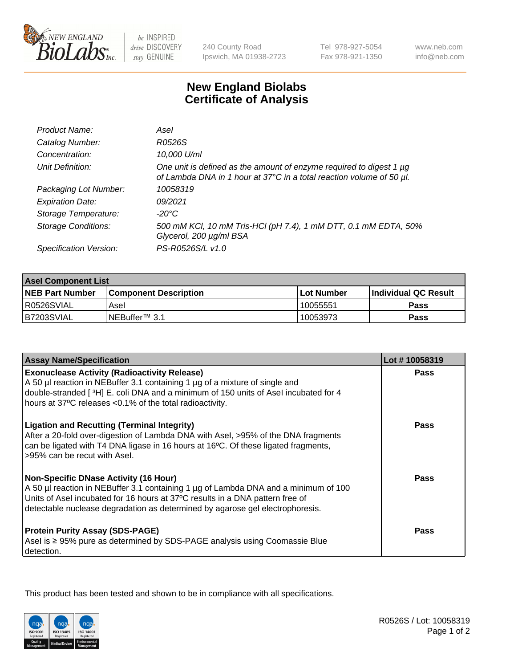

 $be$  INSPIRED drive DISCOVERY stay GENUINE

240 County Road Ipswich, MA 01938-2723 Tel 978-927-5054 Fax 978-921-1350

www.neb.com info@neb.com

## **New England Biolabs Certificate of Analysis**

| Product Name:              | Asel                                                                                                                                        |
|----------------------------|---------------------------------------------------------------------------------------------------------------------------------------------|
| Catalog Number:            | R0526S                                                                                                                                      |
| Concentration:             | 10,000 U/ml                                                                                                                                 |
| Unit Definition:           | One unit is defined as the amount of enzyme required to digest 1 µg<br>of Lambda DNA in 1 hour at 37°C in a total reaction volume of 50 µl. |
| Packaging Lot Number:      | 10058319                                                                                                                                    |
| <b>Expiration Date:</b>    | 09/2021                                                                                                                                     |
| Storage Temperature:       | $-20^{\circ}$ C                                                                                                                             |
| <b>Storage Conditions:</b> | 500 mM KCl, 10 mM Tris-HCl (pH 7.4), 1 mM DTT, 0.1 mM EDTA, 50%<br>Glycerol, 200 µg/ml BSA                                                  |
| Specification Version:     | PS-R0526S/L v1.0                                                                                                                            |

| <b>Asel Component List</b> |                         |              |                             |  |
|----------------------------|-------------------------|--------------|-----------------------------|--|
| <b>NEB Part Number</b>     | l Component Description | l Lot Number | <b>Individual QC Result</b> |  |
| R0526SVIAL                 | Asel                    | 10055551،    | Pass                        |  |
| B7203SVIAL                 | INEBuffer™ 3.1          | 10053973     | Pass                        |  |

| <b>Assay Name/Specification</b>                                                                                                                                                                                                                                                                       | Lot #10058319 |
|-------------------------------------------------------------------------------------------------------------------------------------------------------------------------------------------------------------------------------------------------------------------------------------------------------|---------------|
| <b>Exonuclease Activity (Radioactivity Release)</b><br>A 50 µl reaction in NEBuffer 3.1 containing 1 µg of a mixture of single and                                                                                                                                                                    | Pass          |
| double-stranded [3H] E. coli DNA and a minimum of 150 units of Asel incubated for 4<br>hours at 37°C releases <0.1% of the total radioactivity.                                                                                                                                                       |               |
| <b>Ligation and Recutting (Terminal Integrity)</b><br>After a 20-fold over-digestion of Lambda DNA with Asel, >95% of the DNA fragments<br>can be ligated with T4 DNA ligase in 16 hours at 16°C. Of these ligated fragments,<br>>95% can be recut with Asel.                                         | Pass          |
| <b>Non-Specific DNase Activity (16 Hour)</b><br>A 50 µl reaction in NEBuffer 3.1 containing 1 µg of Lambda DNA and a minimum of 100<br>Units of Asel incubated for 16 hours at 37°C results in a DNA pattern free of<br>detectable nuclease degradation as determined by agarose gel electrophoresis. | <b>Pass</b>   |
| <b>Protein Purity Assay (SDS-PAGE)</b><br>Asel is ≥ 95% pure as determined by SDS-PAGE analysis using Coomassie Blue<br>detection.                                                                                                                                                                    | Pass          |

This product has been tested and shown to be in compliance with all specifications.